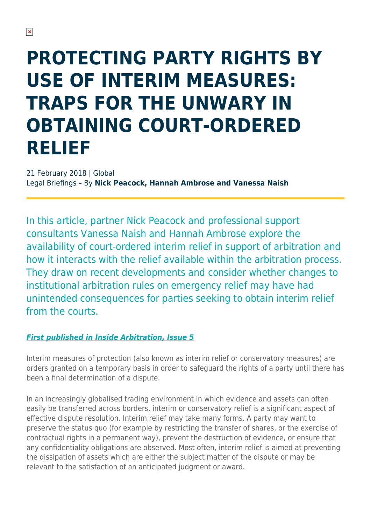# **PROTECTING PARTY RIGHTS BY USE OF INTERIM MEASURES: TRAPS FOR THE UNWARY IN OBTAINING COURT-ORDERED RELIEF**

21 February 2018 | Global Legal Briefings – By **Nick Peacock, Hannah Ambrose and Vanessa Naish**

In this article, partner Nick Peacock and professional support consultants Vanessa Naish and Hannah Ambrose explore the availability of court-ordered interim relief in support of arbitration and how it interacts with the relief available within the arbitration process. They draw on recent developments and consider whether changes to institutional arbitration rules on emergency relief may have had unintended consequences for parties seeking to obtain interim relief from the courts.

### *[First published in Inside Arbitration, Issue 5](https://www.herbertsmithfreehills.com/latest-thinking/inside-arbitration)*

Interim measures of protection (also known as interim relief or conservatory measures) are orders granted on a temporary basis in order to safeguard the rights of a party until there has been a final determination of a dispute.

In an increasingly globalised trading environment in which evidence and assets can often easily be transferred across borders, interim or conservatory relief is a significant aspect of effective dispute resolution. Interim relief may take many forms. A party may want to preserve the status quo (for example by restricting the transfer of shares, or the exercise of contractual rights in a permanent way), prevent the destruction of evidence, or ensure that any confidentiality obligations are observed. Most often, interim relief is aimed at preventing the dissipation of assets which are either the subject matter of the dispute or may be relevant to the satisfaction of an anticipated judgment or award.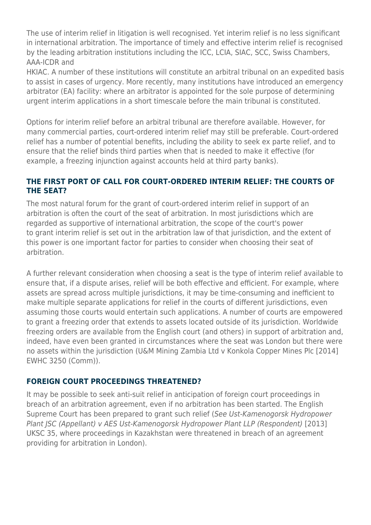The use of interim relief in litigation is well recognised. Yet interim relief is no less significant in international arbitration. The importance of timely and effective interim relief is recognised by the leading arbitration institutions including the ICC, LCIA, SIAC, SCC, Swiss Chambers, AAA-ICDR and

HKIAC. A number of these institutions will constitute an arbitral tribunal on an expedited basis to assist in cases of urgency. More recently, many institutions have introduced an emergency arbitrator (EA) facility: where an arbitrator is appointed for the sole purpose of determining urgent interim applications in a short timescale before the main tribunal is constituted.

Options for interim relief before an arbitral tribunal are therefore available. However, for many commercial parties, court-ordered interim relief may still be preferable. Court-ordered relief has a number of potential benefits, including the ability to seek ex parte relief, and to ensure that the relief binds third parties when that is needed to make it effective (for example, a freezing injunction against accounts held at third party banks).

#### **THE FIRST PORT OF CALL FOR COURT-ORDERED INTERIM RELIEF: THE COURTS OF THE SEAT?**

The most natural forum for the grant of court-ordered interim relief in support of an arbitration is often the court of the seat of arbitration. In most jurisdictions which are regarded as supportive of international arbitration, the scope of the court's power to grant interim relief is set out in the arbitration law of that jurisdiction, and the extent of this power is one important factor for parties to consider when choosing their seat of arbitration.

A further relevant consideration when choosing a seat is the type of interim relief available to ensure that, if a dispute arises, relief will be both effective and efficient. For example, where assets are spread across multiple jurisdictions, it may be time-consuming and inefficient to make multiple separate applications for relief in the courts of different jurisdictions, even assuming those courts would entertain such applications. A number of courts are empowered to grant a freezing order that extends to assets located outside of its jurisdiction. Worldwide freezing orders are available from the English court (and others) in support of arbitration and, indeed, have even been granted in circumstances where the seat was London but there were no assets within the jurisdiction (U&M Mining Zambia Ltd v Konkola Copper Mines Plc [2014] EWHC 3250 (Comm)).

#### **FOREIGN COURT PROCEEDINGS THREATENED?**

It may be possible to seek anti-suit relief in anticipation of foreign court proceedings in breach of an arbitration agreement, even if no arbitration has been started. The English Supreme Court has been prepared to grant such relief (See Ust-Kamenogorsk Hydropower Plant JSC (Appellant) v AES Ust-Kamenogorsk Hydropower Plant LLP (Respondent) [2013] UKSC 35, where proceedings in Kazakhstan were threatened in breach of an agreement providing for arbitration in London).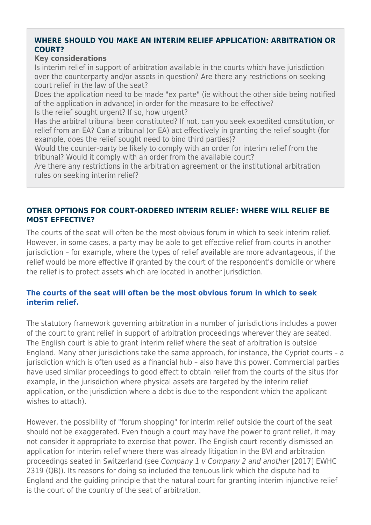#### **WHERE SHOULD YOU MAKE AN INTERIM RELIEF APPLICATION: ARBITRATION OR COURT?**

#### **Key considerations**

Is interim relief in support of arbitration available in the courts which have jurisdiction over the counterparty and/or assets in question? Are there any restrictions on seeking court relief in the law of the seat?

Does the application need to be made "ex parte" (ie without the other side being notified of the application in advance) in order for the measure to be effective?

Is the relief sought urgent? If so, how urgent?

Has the arbitral tribunal been constituted? If not, can you seek expedited constitution, or relief from an EA? Can a tribunal (or EA) act effectively in granting the relief sought (for example, does the relief sought need to bind third parties)?

Would the counter-party be likely to comply with an order for interim relief from the tribunal? Would it comply with an order from the available court?

Are there any restrictions in the arbitration agreement or the institutional arbitration rules on seeking interim relief?

#### **OTHER OPTIONS FOR COURT-ORDERED INTERIM RELIEF: WHERE WILL RELIEF BE MOST EFFECTIVE?**

The courts of the seat will often be the most obvious forum in which to seek interim relief. However, in some cases, a party may be able to get effective relief from courts in another jurisdiction – for example, where the types of relief available are more advantageous, if the relief would be more effective if granted by the court of the respondent's domicile or where the relief is to protect assets which are located in another jurisdiction.

#### **The courts of the seat will often be the most obvious forum in which to seek interim relief.**

The statutory framework governing arbitration in a number of jurisdictions includes a power of the court to grant relief in support of arbitration proceedings wherever they are seated. The English court is able to grant interim relief where the seat of arbitration is outside England. Many other jurisdictions take the same approach, for instance, the Cypriot courts – a jurisdiction which is often used as a financial hub – also have this power. Commercial parties have used similar proceedings to good effect to obtain relief from the courts of the situs (for example, in the jurisdiction where physical assets are targeted by the interim relief application, or the jurisdiction where a debt is due to the respondent which the applicant wishes to attach).

However, the possibility of "forum shopping" for interim relief outside the court of the seat should not be exaggerated. Even though a court may have the power to grant relief, it may not consider it appropriate to exercise that power. The English court recently dismissed an application for interim relief where there was already litigation in the BVI and arbitration proceedings seated in Switzerland (see Company 1 v Company 2 and another [2017] EWHC 2319 (QB)). Its reasons for doing so included the tenuous link which the dispute had to England and the guiding principle that the natural court for granting interim injunctive relief is the court of the country of the seat of arbitration.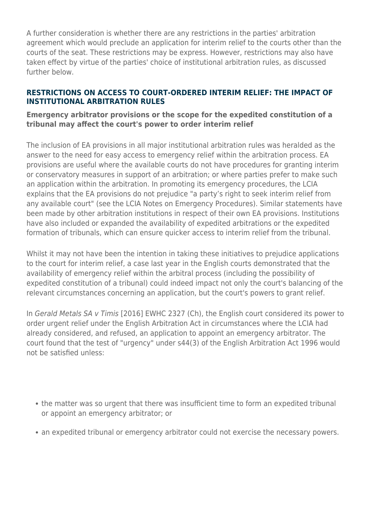A further consideration is whether there are any restrictions in the parties' arbitration agreement which would preclude an application for interim relief to the courts other than the courts of the seat. These restrictions may be express. However, restrictions may also have taken effect by virtue of the parties' choice of institutional arbitration rules, as discussed further below.

#### **RESTRICTIONS ON ACCESS TO COURT-ORDERED INTERIM RELIEF: THE IMPACT OF INSTITUTIONAL ARBITRATION RULES**

#### **Emergency arbitrator provisions or the scope for the expedited constitution of a tribunal may affect the court's power to order interim relief**

The inclusion of EA provisions in all major institutional arbitration rules was heralded as the answer to the need for easy access to emergency relief within the arbitration process. EA provisions are useful where the available courts do not have procedures for granting interim or conservatory measures in support of an arbitration; or where parties prefer to make such an application within the arbitration. In promoting its emergency procedures, the LCIA explains that the EA provisions do not prejudice "a party's right to seek interim relief from any available court" (see the LCIA Notes on Emergency Procedures). Similar statements have been made by other arbitration institutions in respect of their own EA provisions. Institutions have also included or expanded the availability of expedited arbitrations or the expedited formation of tribunals, which can ensure quicker access to interim relief from the tribunal.

Whilst it may not have been the intention in taking these initiatives to prejudice applications to the court for interim relief, a case last year in the English courts demonstrated that the availability of emergency relief within the arbitral process (including the possibility of expedited constitution of a tribunal) could indeed impact not only the court's balancing of the relevant circumstances concerning an application, but the court's powers to grant relief.

In Gerald Metals SA v Timis [2016] EWHC 2327 (Ch), the English court considered its power to order urgent relief under the English Arbitration Act in circumstances where the LCIA had already considered, and refused, an application to appoint an emergency arbitrator. The court found that the test of "urgency" under s44(3) of the English Arbitration Act 1996 would not be satisfied unless:

- the matter was so urgent that there was insufficient time to form an expedited tribunal or appoint an emergency arbitrator; or
- an expedited tribunal or emergency arbitrator could not exercise the necessary powers.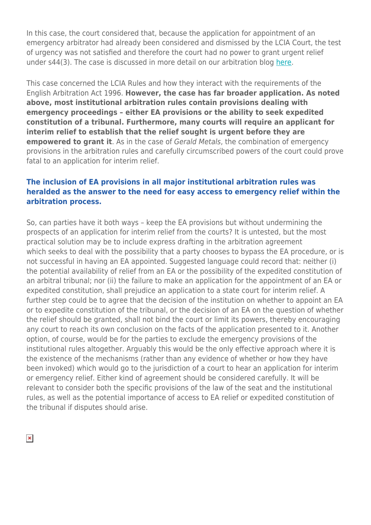In this case, the court considered that, because the application for appointment of an emergency arbitrator had already been considered and dismissed by the LCIA Court, the test of urgency was not satisfied and therefore the court had no power to grant urgent relief under s44(3). The case is discussed in more detail on our arbitration blog [here.](https://hsfnotes.com/arbitration/2016/10/07/english-high-court-has-no-power-to-grant-urgent-relief-under-arbitration-act-where-urgent-relief-could-be-granted-by-expedited-tribunal-or-emergency-arbitrator-under-lcia-rules/)

This case concerned the LCIA Rules and how they interact with the requirements of the English Arbitration Act 1996. **However, the case has far broader application. As noted above, most institutional arbitration rules contain provisions dealing with emergency proceedings – either EA provisions or the ability to seek expedited constitution of a tribunal. Furthermore, many courts will require an applicant for interim relief to establish that the relief sought is urgent before they are empowered to grant it**. As in the case of Gerald Metals, the combination of emergency provisions in the arbitration rules and carefully circumscribed powers of the court could prove fatal to an application for interim relief.

#### **The inclusion of EA provisions in all major institutional arbitration rules was heralded as the answer to the need for easy access to emergency relief within the arbitration process.**

So, can parties have it both ways – keep the EA provisions but without undermining the prospects of an application for interim relief from the courts? It is untested, but the most practical solution may be to include express drafting in the arbitration agreement which seeks to deal with the possibility that a party chooses to bypass the EA procedure, or is not successful in having an EA appointed. Suggested language could record that: neither (i) the potential availability of relief from an EA or the possibility of the expedited constitution of an arbitral tribunal; nor (ii) the failure to make an application for the appointment of an EA or expedited constitution, shall prejudice an application to a state court for interim relief. A further step could be to agree that the decision of the institution on whether to appoint an EA or to expedite constitution of the tribunal, or the decision of an EA on the question of whether the relief should be granted, shall not bind the court or limit its powers, thereby encouraging any court to reach its own conclusion on the facts of the application presented to it. Another option, of course, would be for the parties to exclude the emergency provisions of the institutional rules altogether. Arguably this would be the only effective approach where it is the existence of the mechanisms (rather than any evidence of whether or how they have been invoked) which would go to the jurisdiction of a court to hear an application for interim or emergency relief. Either kind of agreement should be considered carefully. It will be relevant to consider both the specific provisions of the law of the seat and the institutional rules, as well as the potential importance of access to EA relief or expedited constitution of the tribunal if disputes should arise.

 $\pmb{\times}$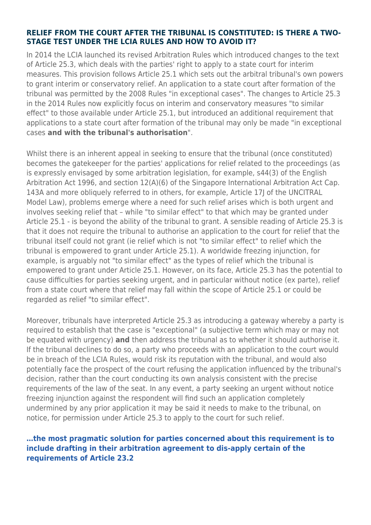#### **RELIEF FROM THE COURT AFTER THE TRIBUNAL IS CONSTITUTED: IS THERE A TWO-STAGE TEST UNDER THE LCIA RULES AND HOW TO AVOID IT?**

In 2014 the LCIA launched its revised Arbitration Rules which introduced changes to the text of Article 25.3, which deals with the parties' right to apply to a state court for interim measures. This provision follows Article 25.1 which sets out the arbitral tribunal's own powers to grant interim or conservatory relief. An application to a state court after formation of the tribunal was permitted by the 2008 Rules "in exceptional cases". The changes to Article 25.3 in the 2014 Rules now explicitly focus on interim and conservatory measures "to similar effect" to those available under Article 25.1, but introduced an additional requirement that applications to a state court after formation of the tribunal may only be made "in exceptional cases **and with the tribunal's authorisation**".

Whilst there is an inherent appeal in seeking to ensure that the tribunal (once constituted) becomes the gatekeeper for the parties' applications for relief related to the proceedings (as is expressly envisaged by some arbitration legislation, for example, s44(3) of the English Arbitration Act 1996, and section 12(A)(6) of the Singapore International Arbitration Act Cap. 143A and more obliquely referred to in others, for example, Article 17J of the UNCITRAL Model Law), problems emerge where a need for such relief arises which is both urgent and involves seeking relief that – while "to similar effect" to that which may be granted under Article 25.1 - is beyond the ability of the tribunal to grant. A sensible reading of Article 25.3 is that it does not require the tribunal to authorise an application to the court for relief that the tribunal itself could not grant (ie relief which is not "to similar effect" to relief which the tribunal is empowered to grant under Article 25.1). A worldwide freezing injunction, for example, is arguably not "to similar effect" as the types of relief which the tribunal is empowered to grant under Article 25.1. However, on its face, Article 25.3 has the potential to cause difficulties for parties seeking urgent, and in particular without notice (ex parte), relief from a state court where that relief may fall within the scope of Article 25.1 or could be regarded as relief "to similar effect".

Moreover, tribunals have interpreted Article 25.3 as introducing a gateway whereby a party is required to establish that the case is "exceptional" (a subjective term which may or may not be equated with urgency) **and** then address the tribunal as to whether it should authorise it. If the tribunal declines to do so, a party who proceeds with an application to the court would be in breach of the LCIA Rules, would risk its reputation with the tribunal, and would also potentially face the prospect of the court refusing the application influenced by the tribunal's decision, rather than the court conducting its own analysis consistent with the precise requirements of the law of the seat. In any event, a party seeking an urgent without notice freezing injunction against the respondent will find such an application completely undermined by any prior application it may be said it needs to make to the tribunal, on notice, for permission under Article 25.3 to apply to the court for such relief.

#### **…the most pragmatic solution for parties concerned about this requirement is to include drafting in their arbitration agreement to dis-apply certain of the requirements of Article 23.2**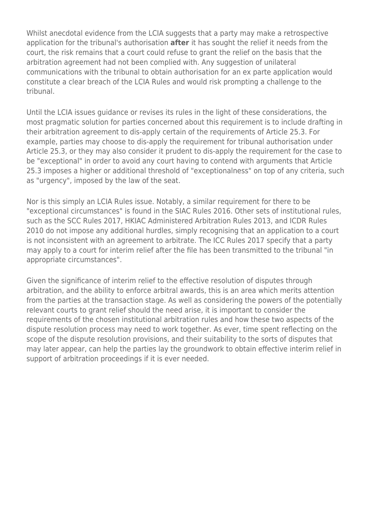Whilst anecdotal evidence from the LCIA suggests that a party may make a retrospective application for the tribunal's authorisation **after** it has sought the relief it needs from the court, the risk remains that a court could refuse to grant the relief on the basis that the arbitration agreement had not been complied with. Any suggestion of unilateral communications with the tribunal to obtain authorisation for an ex parte application would constitute a clear breach of the LCIA Rules and would risk prompting a challenge to the tribunal.

Until the LCIA issues guidance or revises its rules in the light of these considerations, the most pragmatic solution for parties concerned about this requirement is to include drafting in their arbitration agreement to dis-apply certain of the requirements of Article 25.3. For example, parties may choose to dis-apply the requirement for tribunal authorisation under Article 25.3, or they may also consider it prudent to dis-apply the requirement for the case to be "exceptional" in order to avoid any court having to contend with arguments that Article 25.3 imposes a higher or additional threshold of "exceptionalness" on top of any criteria, such as "urgency", imposed by the law of the seat.

Nor is this simply an LCIA Rules issue. Notably, a similar requirement for there to be "exceptional circumstances" is found in the SIAC Rules 2016. Other sets of institutional rules, such as the SCC Rules 2017, HKIAC Administered Arbitration Rules 2013, and ICDR Rules 2010 do not impose any additional hurdles, simply recognising that an application to a court is not inconsistent with an agreement to arbitrate. The ICC Rules 2017 specify that a party may apply to a court for interim relief after the file has been transmitted to the tribunal "in appropriate circumstances".

Given the significance of interim relief to the effective resolution of disputes through arbitration, and the ability to enforce arbitral awards, this is an area which merits attention from the parties at the transaction stage. As well as considering the powers of the potentially relevant courts to grant relief should the need arise, it is important to consider the requirements of the chosen institutional arbitration rules and how these two aspects of the dispute resolution process may need to work together. As ever, time spent reflecting on the scope of the dispute resolution provisions, and their suitability to the sorts of disputes that may later appear, can help the parties lay the groundwork to obtain effective interim relief in support of arbitration proceedings if it is ever needed.